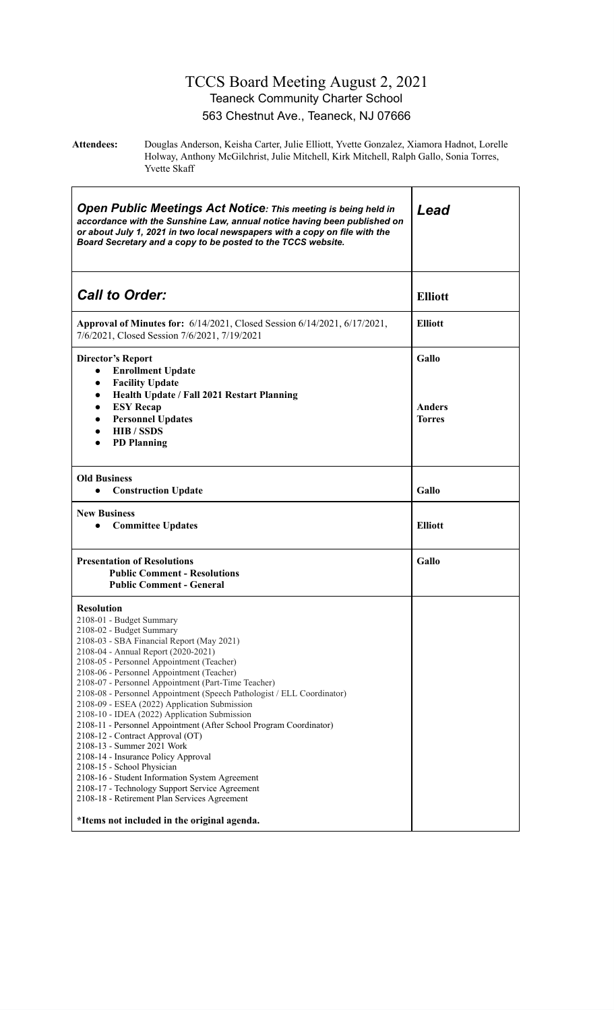#### TCCS Board Meeting August 2, 2021 Teaneck Community Charter School 563 Chestnut Ave., Teaneck, NJ 07666

**Attendees:** Douglas Anderson, Keisha Carter, Julie Elliott, Yvette Gonzalez, Xiamora Hadnot, Lorelle Holway, Anthony McGilchrist, Julie Mitchell, Kirk Mitchell, Ralph Gallo, Sonia Torres, Yvette Skaff

| <b>Open Public Meetings Act Notice: This meeting is being held in</b><br>accordance with the Sunshine Law, annual notice having been published on<br>or about July 1, 2021 in two local newspapers with a copy on file with the<br>Board Secretary and a copy to be posted to the TCCS website.                                                                                                                                                                                                                                                                                                                                                                                                                                                                                                                                                                                                          | Lead                    |  |  |
|----------------------------------------------------------------------------------------------------------------------------------------------------------------------------------------------------------------------------------------------------------------------------------------------------------------------------------------------------------------------------------------------------------------------------------------------------------------------------------------------------------------------------------------------------------------------------------------------------------------------------------------------------------------------------------------------------------------------------------------------------------------------------------------------------------------------------------------------------------------------------------------------------------|-------------------------|--|--|
| <b>Call to Order:</b>                                                                                                                                                                                                                                                                                                                                                                                                                                                                                                                                                                                                                                                                                                                                                                                                                                                                                    | <b>Elliott</b>          |  |  |
| Approval of Minutes for: 6/14/2021, Closed Session 6/14/2021, 6/17/2021,<br>7/6/2021, Closed Session 7/6/2021, 7/19/2021                                                                                                                                                                                                                                                                                                                                                                                                                                                                                                                                                                                                                                                                                                                                                                                 | <b>Elliott</b>          |  |  |
| <b>Director's Report</b><br><b>Enrollment Update</b><br>$\bullet$                                                                                                                                                                                                                                                                                                                                                                                                                                                                                                                                                                                                                                                                                                                                                                                                                                        | Gallo                   |  |  |
| <b>Facility Update</b><br>$\bullet$<br>Health Update / Fall 2021 Restart Planning<br>$\bullet$<br><b>ESY Recap</b><br>$\bullet$<br><b>Personnel Updates</b><br>$\bullet$<br><b>HIB</b> / SSDS<br>$\bullet$<br><b>PD</b> Planning<br>$\bullet$                                                                                                                                                                                                                                                                                                                                                                                                                                                                                                                                                                                                                                                            | Anders<br><b>Torres</b> |  |  |
| <b>Old Business</b><br><b>Construction Update</b><br>$\bullet$                                                                                                                                                                                                                                                                                                                                                                                                                                                                                                                                                                                                                                                                                                                                                                                                                                           | Gallo                   |  |  |
| <b>New Business</b><br><b>Committee Updates</b>                                                                                                                                                                                                                                                                                                                                                                                                                                                                                                                                                                                                                                                                                                                                                                                                                                                          | <b>Elliott</b>          |  |  |
| <b>Presentation of Resolutions</b><br><b>Public Comment - Resolutions</b><br><b>Public Comment - General</b>                                                                                                                                                                                                                                                                                                                                                                                                                                                                                                                                                                                                                                                                                                                                                                                             | Gallo                   |  |  |
| <b>Resolution</b><br>2108-01 - Budget Summary<br>2108-02 - Budget Summary<br>2108-03 - SBA Financial Report (May 2021)<br>2108-04 - Annual Report (2020-2021)<br>2108-05 - Personnel Appointment (Teacher)<br>2108-06 - Personnel Appointment (Teacher)<br>2108-07 - Personnel Appointment (Part-Time Teacher)<br>2108-08 - Personnel Appointment (Speech Pathologist / ELL Coordinator)<br>2108-09 - ESEA (2022) Application Submission<br>2108-10 - IDEA (2022) Application Submission<br>2108-11 - Personnel Appointment (After School Program Coordinator)<br>2108-12 - Contract Approval (OT)<br>2108-13 - Summer 2021 Work<br>2108-14 - Insurance Policy Approval<br>2108-15 - School Physician<br>2108-16 - Student Information System Agreement<br>2108-17 - Technology Support Service Agreement<br>2108-18 - Retirement Plan Services Agreement<br>*Items not included in the original agenda. |                         |  |  |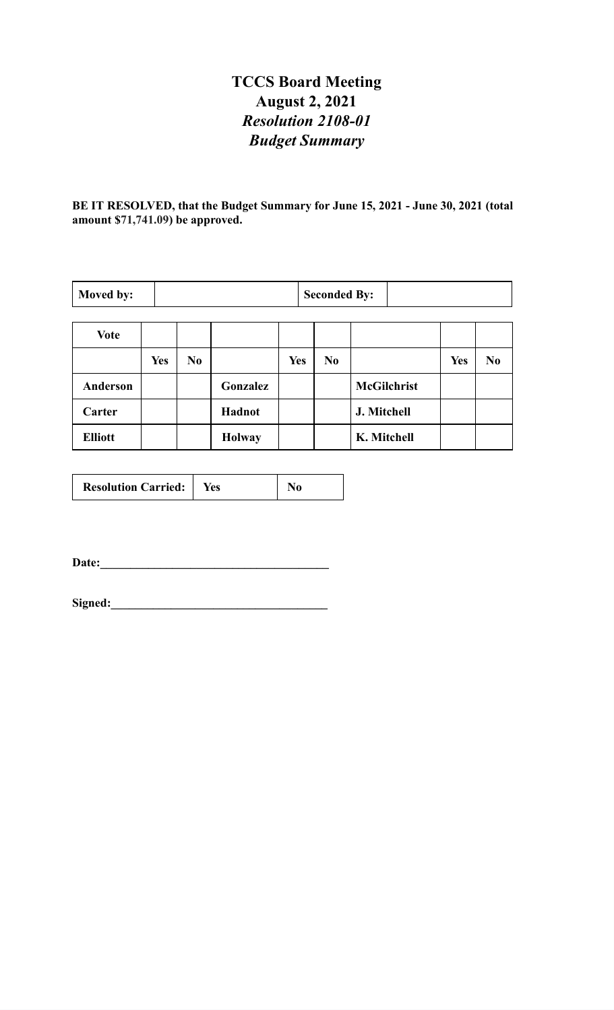# **TCCS Board Meeting August 2, 2021** *Resolution 2108-01 Budget Summary*

**BE IT RESOLVED, that the Budget Summary for June 15, 2021 - June 30, 2021 (total amount \$71,741.09) be approved.**

| Moved by:       |            | <b>Seconded By:</b> |               |            |                |                    |            |                |
|-----------------|------------|---------------------|---------------|------------|----------------|--------------------|------------|----------------|
| <b>Vote</b>     |            |                     |               |            |                |                    |            |                |
|                 | <b>Yes</b> | N <sub>0</sub>      |               | <b>Yes</b> | N <sub>0</sub> |                    | <b>Yes</b> | N <sub>0</sub> |
| <b>Anderson</b> |            |                     | Gonzalez      |            |                | <b>McGilchrist</b> |            |                |
| Carter          |            |                     | Hadnot        |            |                | J. Mitchell        |            |                |
| <b>Elliott</b>  |            |                     | <b>Holway</b> |            |                | K. Mitchell        |            |                |

| <b>Resolution Carried:</b> | Yes |  |
|----------------------------|-----|--|
|----------------------------|-----|--|

**Date:\_\_\_\_\_\_\_\_\_\_\_\_\_\_\_\_\_\_\_\_\_\_\_\_\_\_\_\_\_\_\_\_\_\_\_\_\_\_**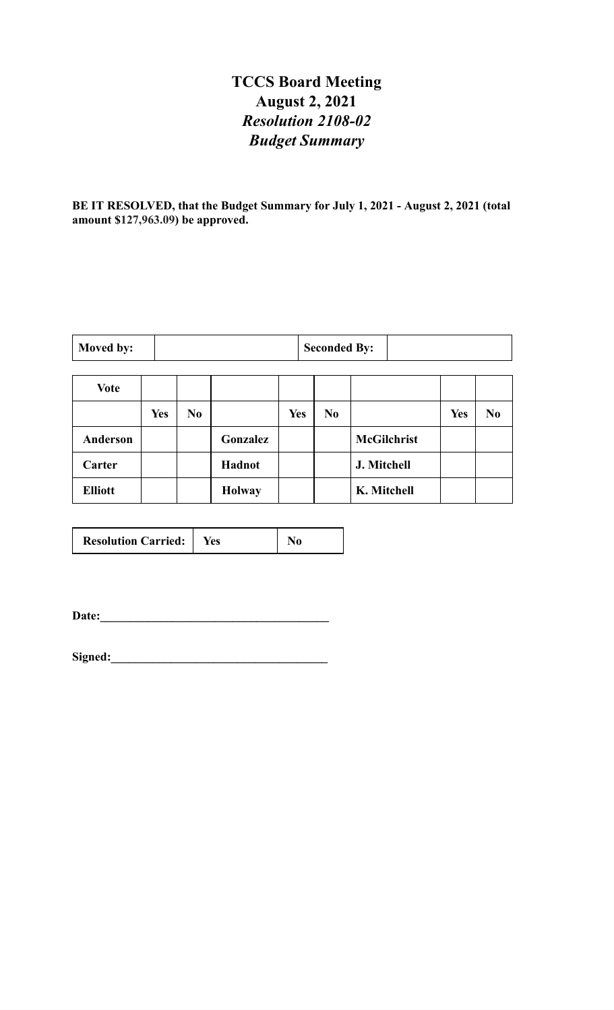# **TCCS Board Meeting August 2, 2021** *Resolution 2108-02 Budget Summary*

**BE IT RESOLVED, that the Budget Summary for July 1, 2021 - August 2, 2021 (total amount \$127,963.09) be approved.**

| Moved by: | <b>Seconded By:</b> |  |
|-----------|---------------------|--|
|-----------|---------------------|--|

| <b>Vote</b>    |            |                |               |            |                |                    |            |                |
|----------------|------------|----------------|---------------|------------|----------------|--------------------|------------|----------------|
|                | <b>Yes</b> | N <sub>0</sub> |               | <b>Yes</b> | N <sub>0</sub> |                    | <b>Yes</b> | N <sub>0</sub> |
| Anderson       |            |                | Gonzalez      |            |                | <b>McGilchrist</b> |            |                |
| Carter         |            |                | Hadnot        |            |                | J. Mitchell        |            |                |
| <b>Elliott</b> |            |                | <b>Holway</b> |            |                | K. Mitchell        |            |                |

| <b>Resolution Carried:</b> | Yes |  |
|----------------------------|-----|--|
|                            |     |  |

**Date:\_\_\_\_\_\_\_\_\_\_\_\_\_\_\_\_\_\_\_\_\_\_\_\_\_\_\_\_\_\_\_\_\_\_\_\_\_\_**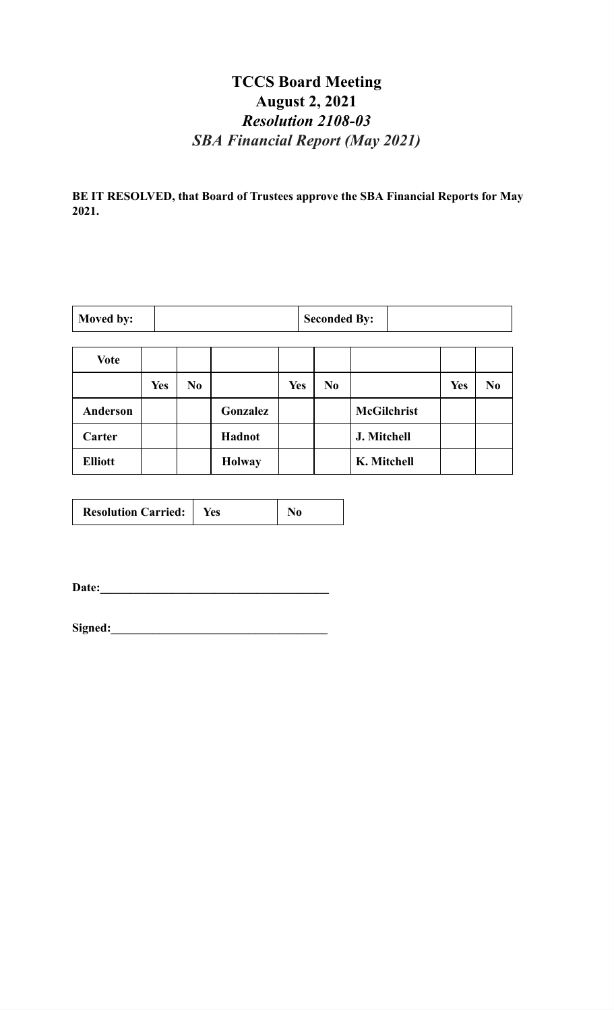# **TCCS Board Meeting August 2, 2021** *Resolution 2108-03 SBA Financial Report (May 2021)*

**BE IT RESOLVED, that Board of Trustees approve the SBA Financial Reports for May 2021.**

| Moved by: | <b>Seconded By:</b> |  |
|-----------|---------------------|--|
|           |                     |  |

and the control of the control of the control of the control of the control of the control of the control of the

| <b>Vote</b>     |            |                |               |            |                |                    |     |                |
|-----------------|------------|----------------|---------------|------------|----------------|--------------------|-----|----------------|
|                 | <b>Yes</b> | N <sub>0</sub> |               | <b>Yes</b> | N <sub>0</sub> |                    | Yes | N <sub>0</sub> |
| <b>Anderson</b> |            |                | Gonzalez      |            |                | <b>McGilchrist</b> |     |                |
| Carter          |            |                | Hadnot        |            |                | J. Mitchell        |     |                |
| <b>Elliott</b>  |            |                | <b>Holway</b> |            |                | K. Mitchell        |     |                |

| <b>Resolution Carried:</b> | Yes | No |
|----------------------------|-----|----|
|----------------------------|-----|----|

**Date:\_\_\_\_\_\_\_\_\_\_\_\_\_\_\_\_\_\_\_\_\_\_\_\_\_\_\_\_\_\_\_\_\_\_\_\_\_\_**

| Signed: |  |  |
|---------|--|--|
|         |  |  |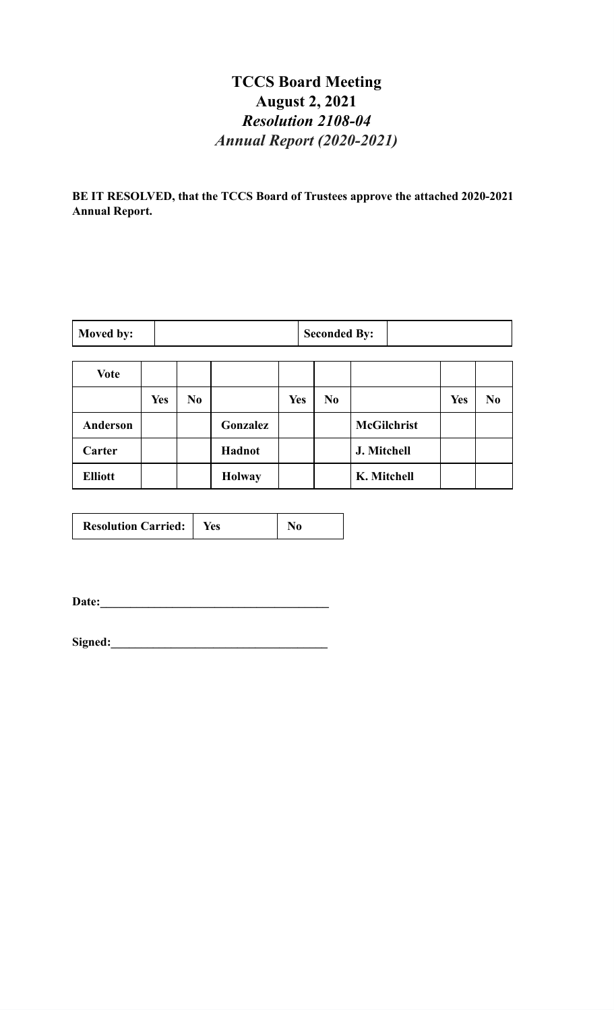# **TCCS Board Meeting August 2, 2021** *Resolution 2108-04 Annual Report (2020-2021)*

**BE IT RESOLVED, that the TCCS Board of Trustees approve the attached 2020-2021 Annual Report.**

| Moved by:      |            |                |               |            | <b>Seconded By:</b> |                    |            |                |
|----------------|------------|----------------|---------------|------------|---------------------|--------------------|------------|----------------|
| <b>Vote</b>    |            |                |               |            |                     |                    |            |                |
|                | <b>Yes</b> | N <sub>0</sub> |               | <b>Yes</b> | N <sub>0</sub>      |                    | <b>Yes</b> | N <sub>0</sub> |
| Anderson       |            |                | Gonzalez      |            |                     | <b>McGilchrist</b> |            |                |
| Carter         |            |                | Hadnot        |            |                     | J. Mitchell        |            |                |
| <b>Elliott</b> |            |                | <b>Holway</b> |            |                     | K. Mitchell        |            |                |

| <b>Resolution Carried:</b> | Yes |  |
|----------------------------|-----|--|
|----------------------------|-----|--|

**Date:\_\_\_\_\_\_\_\_\_\_\_\_\_\_\_\_\_\_\_\_\_\_\_\_\_\_\_\_\_\_\_\_\_\_\_\_\_\_**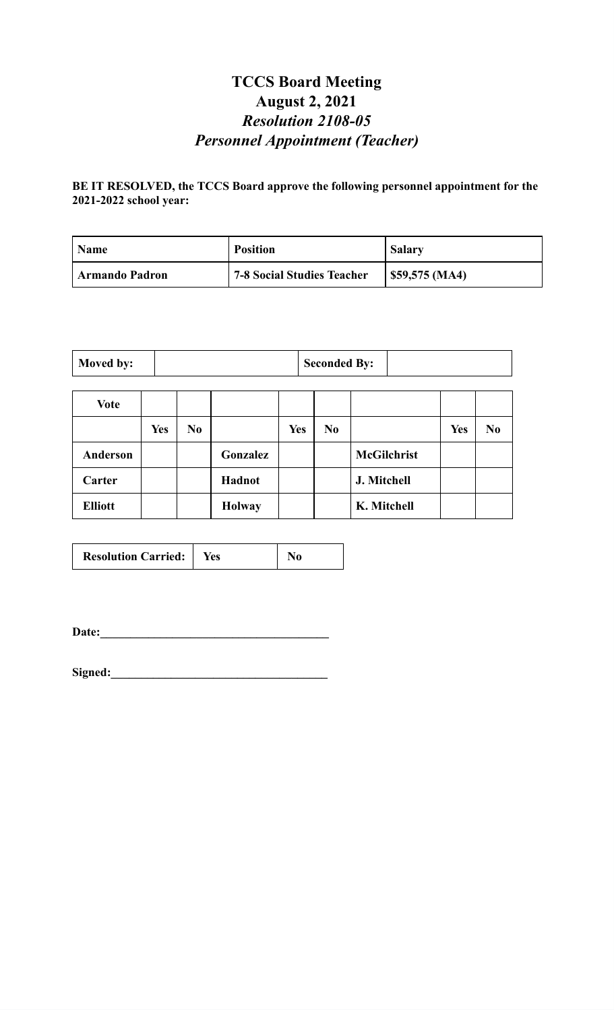# **TCCS Board Meeting August 2, 2021** *Resolution 2108-05 Personnel Appointment (Teacher)*

#### **BE IT RESOLVED, the TCCS Board approve the following personnel appointment for the 2021-2022 school year:**

| <b>Name</b>           | <b>Position</b>                   | <b>Salary</b> |
|-----------------------|-----------------------------------|---------------|
| <b>Armando Padron</b> | <b>7-8 Social Studies Teacher</b> | \$59,575(MA)  |

| Moved by: |  | <b>Seconded By:</b> |  |
|-----------|--|---------------------|--|
|-----------|--|---------------------|--|

| <b>Vote</b>    |            |                |               |            |                |                    |            |                |
|----------------|------------|----------------|---------------|------------|----------------|--------------------|------------|----------------|
|                | <b>Yes</b> | N <sub>0</sub> |               | <b>Yes</b> | N <sub>0</sub> |                    | <b>Yes</b> | N <sub>0</sub> |
| Anderson       |            |                | Gonzalez      |            |                | <b>McGilchrist</b> |            |                |
| Carter         |            |                | Hadnot        |            |                | J. Mitchell        |            |                |
| <b>Elliott</b> |            |                | <b>Holway</b> |            |                | K. Mitchell        |            |                |

| <b>Resolution Carried:</b>   Yes |  | N <sub>0</sub> |
|----------------------------------|--|----------------|
|----------------------------------|--|----------------|

**Date:\_\_\_\_\_\_\_\_\_\_\_\_\_\_\_\_\_\_\_\_\_\_\_\_\_\_\_\_\_\_\_\_\_\_\_\_\_\_**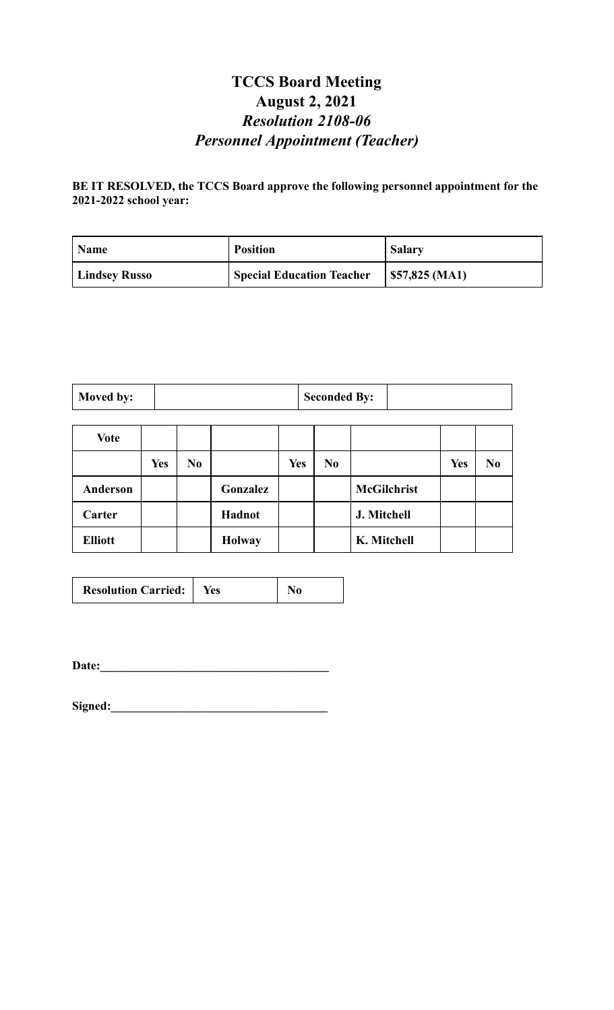# **TCCS Board Meeting August 2, 2021** *Resolution 2108-06 Personnel Appointment (Teacher)*

#### **BE IT RESOLVED, the TCCS Board approve the following personnel appointment for the 2021-2022 school year:**

| <b>Name</b>          | <b>Position</b>                  | <b>Salary</b>       |
|----------------------|----------------------------------|---------------------|
| <b>Lindsey Russo</b> | <b>Special Education Teacher</b> | $  $57,825 \,(MA1)$ |

| <b>Seconded By:</b><br>Moved by: |  |
|----------------------------------|--|
|----------------------------------|--|

| <b>Vote</b>    |            |    |               |            |                |                    |            |                |
|----------------|------------|----|---------------|------------|----------------|--------------------|------------|----------------|
|                | <b>Yes</b> | No |               | <b>Yes</b> | N <sub>0</sub> |                    | <b>Yes</b> | N <sub>0</sub> |
| Anderson       |            |    | Gonzalez      |            |                | <b>McGilchrist</b> |            |                |
| Carter         |            |    | Hadnot        |            |                | J. Mitchell        |            |                |
| <b>Elliott</b> |            |    | <b>Holway</b> |            |                | K. Mitchell        |            |                |

**Date:\_\_\_\_\_\_\_\_\_\_\_\_\_\_\_\_\_\_\_\_\_\_\_\_\_\_\_\_\_\_\_\_\_\_\_\_\_\_**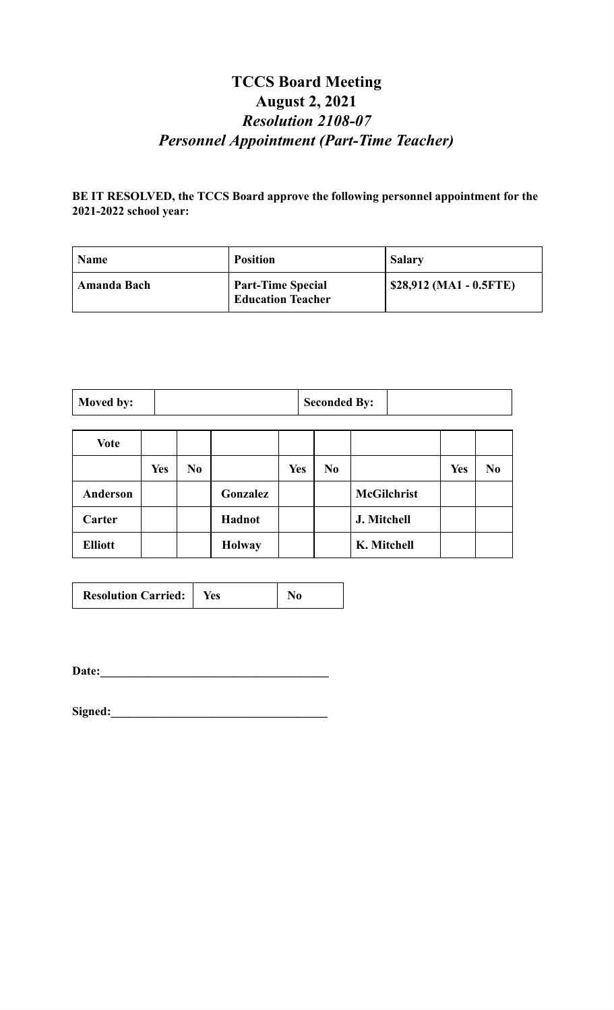## **TCCS Board Meeting August 2, 2021** *Resolution 2108-07 Personnel Appointment (Part-Time Teacher)*

**BE IT RESOLVED, the TCCS Board approve the following personnel appointment for the 2021-2022 school year:**

| <b>Name</b> | <b>Position</b>                                      | <b>Salary</b>           |
|-------------|------------------------------------------------------|-------------------------|
| Amanda Bach | <b>Part-Time Special</b><br><b>Education Teacher</b> | \$28,912 (MA1 - 0.5FTE) |

| <b>Moved by:</b> | <b>Seconded By:</b> |  |
|------------------|---------------------|--|

| <b>Vote</b>    |            |                |               |            |     |                    |            |                |
|----------------|------------|----------------|---------------|------------|-----|--------------------|------------|----------------|
|                | <b>Yes</b> | N <sub>0</sub> |               | <b>Yes</b> | No. |                    | <b>Yes</b> | N <sub>0</sub> |
| Anderson       |            |                | Gonzalez      |            |     | <b>McGilchrist</b> |            |                |
| Carter         |            |                | Hadnot        |            |     | J. Mitchell        |            |                |
| <b>Elliott</b> |            |                | <b>Holway</b> |            |     | K. Mitchell        |            |                |

| <b>Resolution Carried:</b>   Yes |  | N <sub>0</sub> |
|----------------------------------|--|----------------|
|----------------------------------|--|----------------|

**Date:\_\_\_\_\_\_\_\_\_\_\_\_\_\_\_\_\_\_\_\_\_\_\_\_\_\_\_\_\_\_\_\_\_\_\_\_\_\_**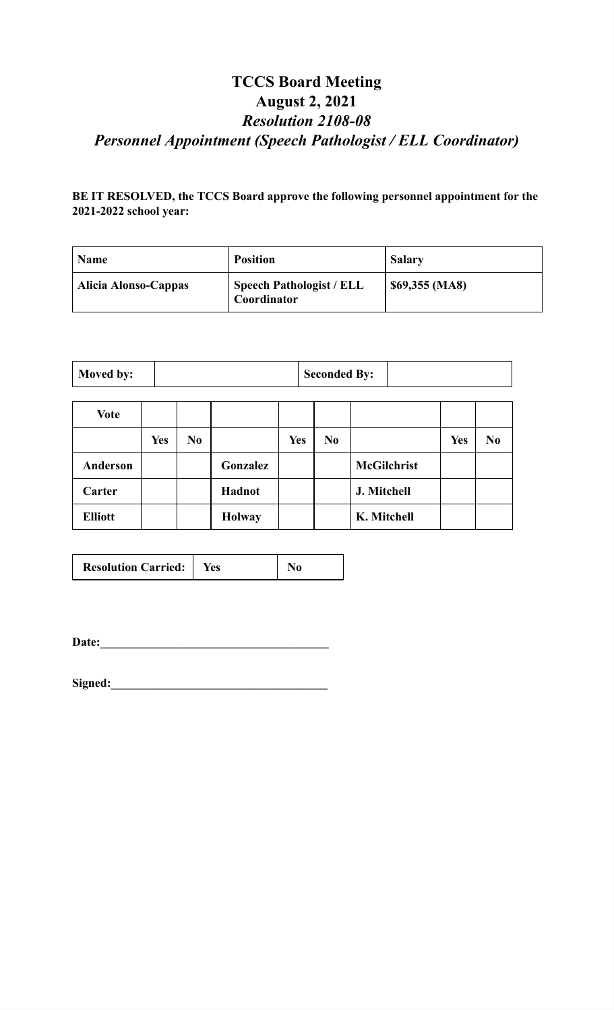## **TCCS Board Meeting August 2, 2021** *Resolution 2108-08 Personnel Appointment (Speech Pathologist / ELL Coordinator)*

#### **BE IT RESOLVED, the TCCS Board approve the following personnel appointment for the 2021-2022 school year:**

| Name                 | <b>Position</b>                                | <b>Salary</b>   |
|----------------------|------------------------------------------------|-----------------|
| Alicia Alonso-Cappas | <b>Speech Pathologist / ELL</b><br>Coordinator | $$69,355$ (MA8) |

| Moved by:       | <b>Seconded By:</b> |                |               |            |                |                    |            |                |
|-----------------|---------------------|----------------|---------------|------------|----------------|--------------------|------------|----------------|
| <b>Vote</b>     |                     |                |               |            |                |                    |            |                |
|                 | <b>Yes</b>          | N <sub>0</sub> |               | <b>Yes</b> | N <sub>0</sub> |                    | <b>Yes</b> | N <sub>0</sub> |
| <b>Anderson</b> |                     |                | Gonzalez      |            |                | <b>McGilchrist</b> |            |                |
| Carter          |                     |                | Hadnot        |            |                | J. Mitchell        |            |                |
| <b>Elliott</b>  |                     |                | <b>Holway</b> |            |                | K. Mitchell        |            |                |

 $\overline{\phantom{a}}$ 

 $\overline{\phantom{a}}$ 

 $\overline{\phantom{a}}$ 

| <b>Resolution Carried:</b> | Yes |  |
|----------------------------|-----|--|
|----------------------------|-----|--|

Date: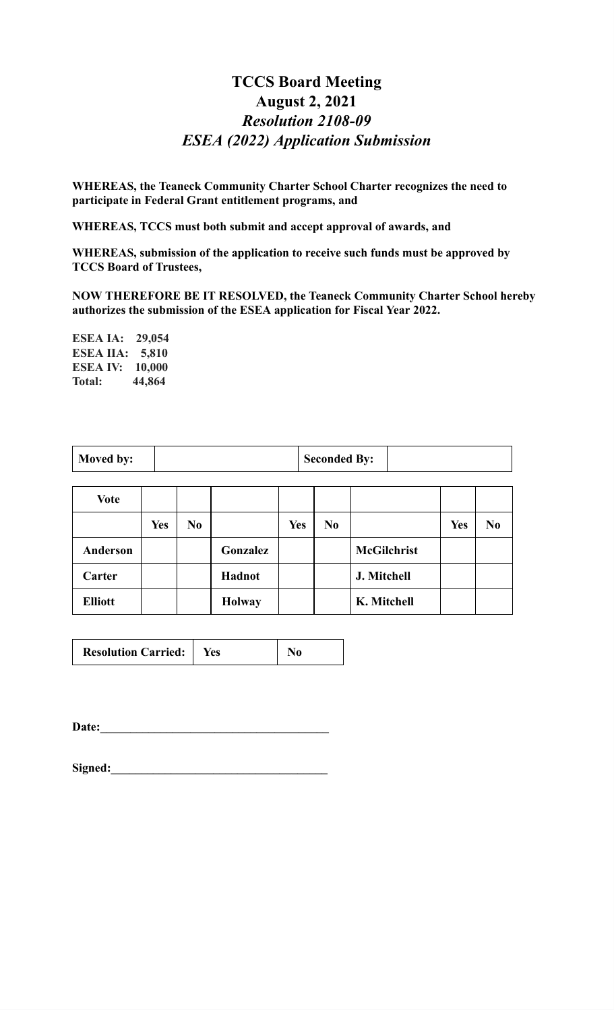## **TCCS Board Meeting August 2, 2021** *Resolution 2108-09 ESEA (2022) Application Submission*

**WHEREAS, the Teaneck Community Charter School Charter recognizes the need to participate in Federal Grant entitlement programs, and**

**WHEREAS, TCCS must both submit and accept approval of awards, and**

**WHEREAS, submission of the application to receive such funds must be approved by TCCS Board of Trustees,**

**NOW THEREFORE BE IT RESOLVED, the Teaneck Community Charter School hereby authorizes the submission of the ESEA application for Fiscal Year 2022.**

**ESEA IA: 29,054 ESEA IIA: 5,810 ESEA IV: 10,000 Total: 44,864**

|  | Moved by: |  | <b>Seconded By:</b> |  |
|--|-----------|--|---------------------|--|
|--|-----------|--|---------------------|--|

| <b>Vote</b>    |            |                |               |     |                |                    |            |                |
|----------------|------------|----------------|---------------|-----|----------------|--------------------|------------|----------------|
|                | <b>Yes</b> | N <sub>0</sub> |               | Yes | N <sub>0</sub> |                    | <b>Yes</b> | N <sub>0</sub> |
| Anderson       |            |                | Gonzalez      |     |                | <b>McGilchrist</b> |            |                |
| Carter         |            |                | Hadnot        |     |                | J. Mitchell        |            |                |
| <b>Elliott</b> |            |                | <b>Holway</b> |     |                | K. Mitchell        |            |                |

| <b>Resolution Carried:</b> |  | No |
|----------------------------|--|----|
|----------------------------|--|----|

**Date:\_\_\_\_\_\_\_\_\_\_\_\_\_\_\_\_\_\_\_\_\_\_\_\_\_\_\_\_\_\_\_\_\_\_\_\_\_\_**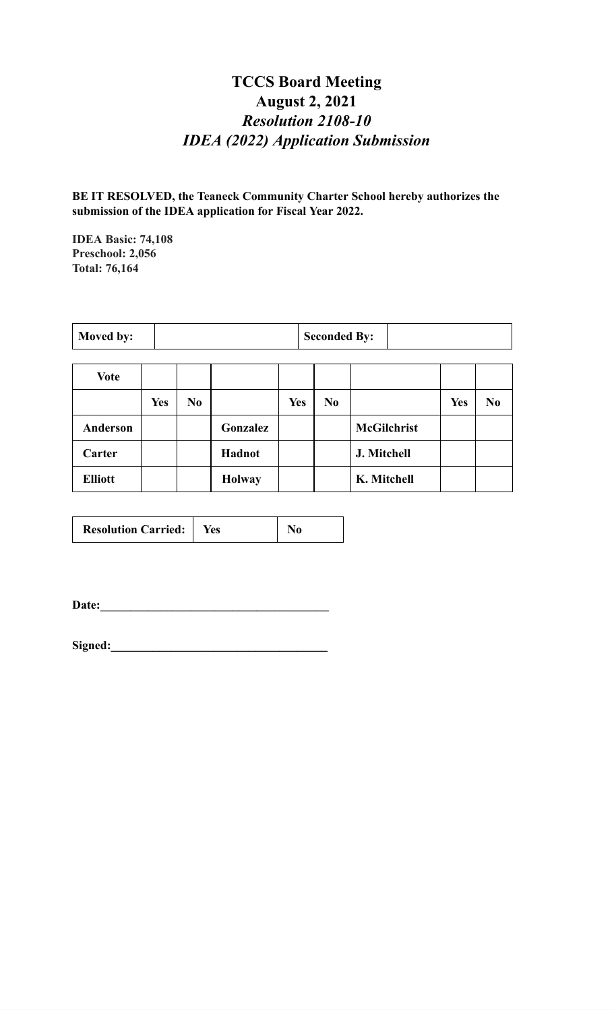# **TCCS Board Meeting August 2, 2021** *Resolution 2108-10 IDEA (2022) Application Submission*

**BE IT RESOLVED, the Teaneck Community Charter School hereby authorizes the submission of the IDEA application for Fiscal Year 2022.**

**IDEA Basic: 74,108 Preschool: 2,056 Total: 76,164**

| <b>Moved by:</b> | <b>Seconded By:</b> |  |
|------------------|---------------------|--|
|                  |                     |  |

| <b>Vote</b>    |            |                |               |            |     |                    |            |                |
|----------------|------------|----------------|---------------|------------|-----|--------------------|------------|----------------|
|                | <b>Yes</b> | N <sub>0</sub> |               | <b>Yes</b> | No. |                    | <b>Yes</b> | N <sub>0</sub> |
| Anderson       |            |                | Gonzalez      |            |     | <b>McGilchrist</b> |            |                |
| Carter         |            |                | Hadnot        |            |     | J. Mitchell        |            |                |
| <b>Elliott</b> |            |                | <b>Holway</b> |            |     | K. Mitchell        |            |                |

| <b>Resolution Carried:</b> | Yes |  |
|----------------------------|-----|--|
|                            |     |  |

**Date:\_\_\_\_\_\_\_\_\_\_\_\_\_\_\_\_\_\_\_\_\_\_\_\_\_\_\_\_\_\_\_\_\_\_\_\_\_\_**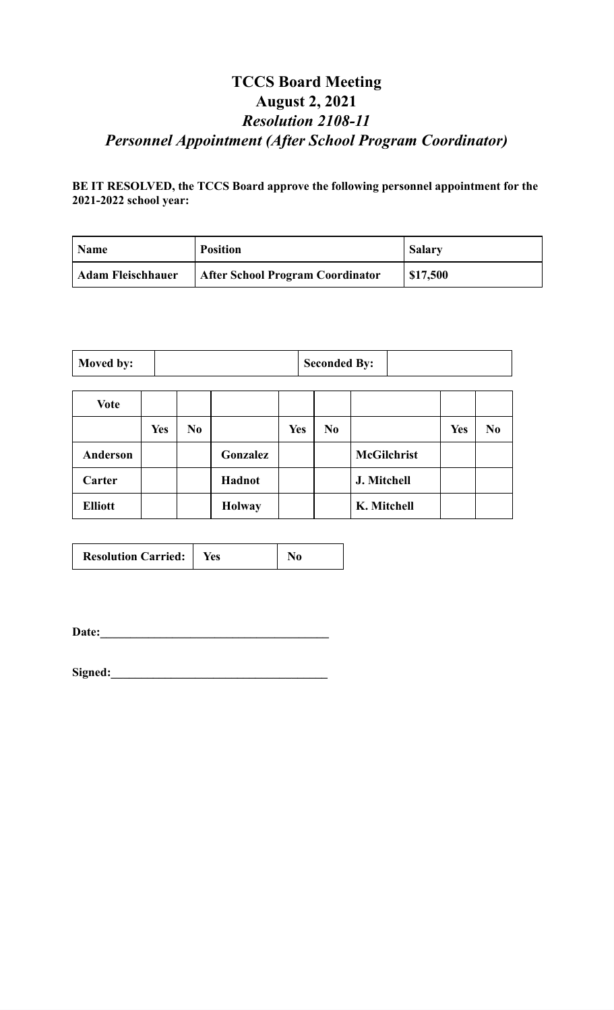# **TCCS Board Meeting August 2, 2021** *Resolution 2108-11 Personnel Appointment (After School Program Coordinator)*

#### **BE IT RESOLVED, the TCCS Board approve the following personnel appointment for the 2021-2022 school year:**

| <b>Name</b>              | <b>Position</b>                         | <b>Salary</b> |
|--------------------------|-----------------------------------------|---------------|
| <b>Adam Fleischhauer</b> | <b>After School Program Coordinator</b> | \$17,500      |

| Moved by: |  | <b>Seconded By:</b> |  |
|-----------|--|---------------------|--|
|-----------|--|---------------------|--|

| <b>Vote</b>    |            |                |               |            |     |                    |            |                |
|----------------|------------|----------------|---------------|------------|-----|--------------------|------------|----------------|
|                | <b>Yes</b> | N <sub>0</sub> |               | <b>Yes</b> | No. |                    | <b>Yes</b> | N <sub>0</sub> |
| Anderson       |            |                | Gonzalez      |            |     | <b>McGilchrist</b> |            |                |
| Carter         |            |                | Hadnot        |            |     | J. Mitchell        |            |                |
| <b>Elliott</b> |            |                | <b>Holway</b> |            |     | K. Mitchell        |            |                |

| <b>Resolution Carried:</b>   Yes |  | N <sub>0</sub> |
|----------------------------------|--|----------------|
|----------------------------------|--|----------------|

**Date:\_\_\_\_\_\_\_\_\_\_\_\_\_\_\_\_\_\_\_\_\_\_\_\_\_\_\_\_\_\_\_\_\_\_\_\_\_\_**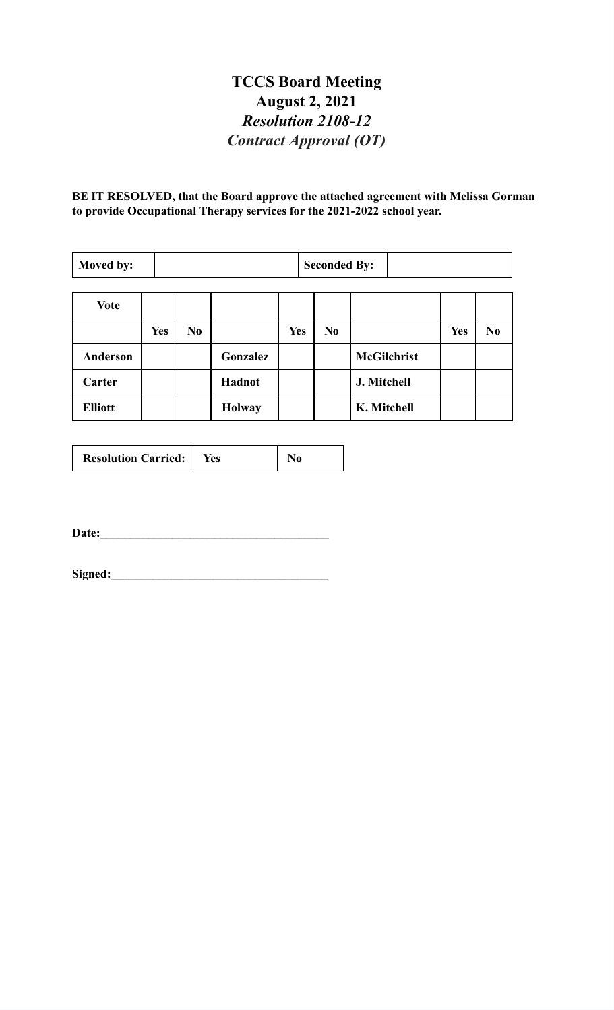# **TCCS Board Meeting August 2, 2021** *Resolution 2108-12 Contract Approval (OT)*

**BE IT RESOLVED, that the Board approve the attached agreement with Melissa Gorman to provide Occupational Therapy services for the 2021-2022 school year.**

| Moved by:       |            | <b>Seconded By:</b> |               |            |  |                |                    |            |                |
|-----------------|------------|---------------------|---------------|------------|--|----------------|--------------------|------------|----------------|
| <b>Vote</b>     |            |                     |               |            |  |                |                    |            |                |
|                 |            |                     |               |            |  |                |                    |            |                |
|                 | <b>Yes</b> | N <sub>0</sub>      |               | <b>Yes</b> |  | N <sub>0</sub> |                    | <b>Yes</b> | N <sub>0</sub> |
| <b>Anderson</b> |            |                     | Gonzalez      |            |  |                | <b>McGilchrist</b> |            |                |
| Carter          |            |                     | Hadnot        |            |  |                | J. Mitchell        |            |                |
| <b>Elliott</b>  |            |                     | <b>Holway</b> |            |  |                | K. Mitchell        |            |                |

| <b>Resolution Carried:</b> | Yes |  |
|----------------------------|-----|--|
|----------------------------|-----|--|

**Date:\_\_\_\_\_\_\_\_\_\_\_\_\_\_\_\_\_\_\_\_\_\_\_\_\_\_\_\_\_\_\_\_\_\_\_\_\_\_**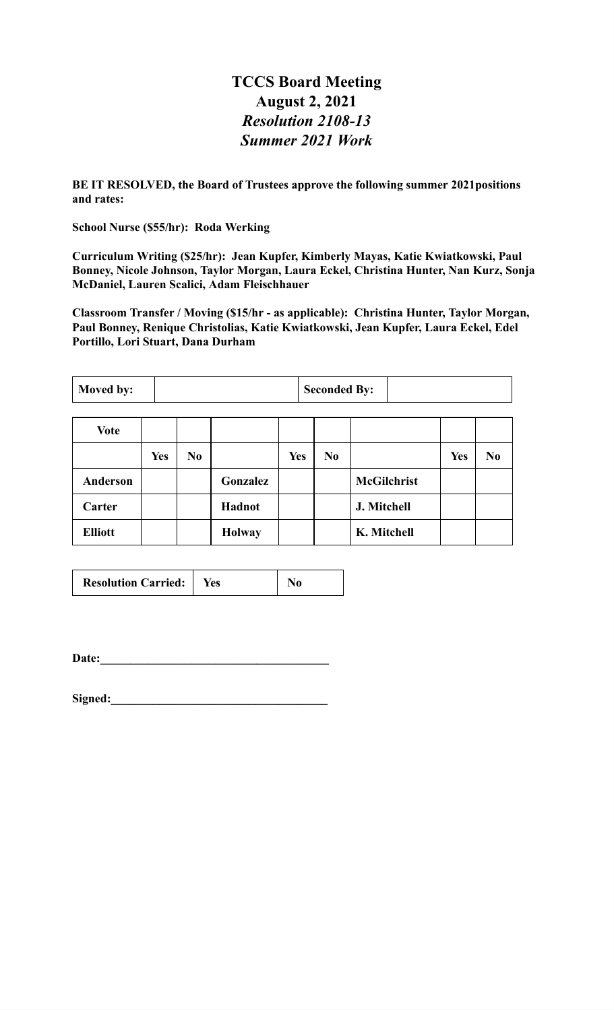#### **TCCS Board Meeting August 2, 2021** *Resolution 2108-13 Summer 2021 Work*

**BE IT RESOLVED, the Board of Trustees approve the following summer 2021positions and rates:**

**School Nurse (\$55/hr): Roda Werking**

**Curriculum Writing (\$25/hr): Jean Kupfer, Kimberly Mayas, Katie Kwiatkowski, Paul Bonney, Nicole Johnson, Taylor Morgan, Laura Eckel, Christina Hunter, Nan Kurz, Sonja McDaniel, Lauren Scalici, Adam Fleischhauer**

**Classroom Transfer / Moving (\$15/hr - as applicable): Christina Hunter, Taylor Morgan, Paul Bonney, Renique Christolias, Katie Kwiatkowski, Jean Kupfer, Laura Eckel, Edel Portillo, Lori Stuart, Dana Durham**

| <b>Seconded By:</b><br>Moved by: |            |                |               |            |                |                    |            |                |
|----------------------------------|------------|----------------|---------------|------------|----------------|--------------------|------------|----------------|
| <b>Vote</b>                      |            |                |               |            |                |                    |            |                |
|                                  | <b>Yes</b> | N <sub>0</sub> |               | <b>Yes</b> | N <sub>0</sub> |                    | <b>Yes</b> | N <sub>0</sub> |
| Anderson                         |            |                | Gonzalez      |            |                | <b>McGilchrist</b> |            |                |
| Carter                           |            |                | Hadnot        |            |                | J. Mitchell        |            |                |
| <b>Elliott</b>                   |            |                | <b>Holway</b> |            |                | K. Mitchell        |            |                |

| <b>Resolution Carried:</b> | Yes | No |
|----------------------------|-----|----|
|----------------------------|-----|----|

**Date:**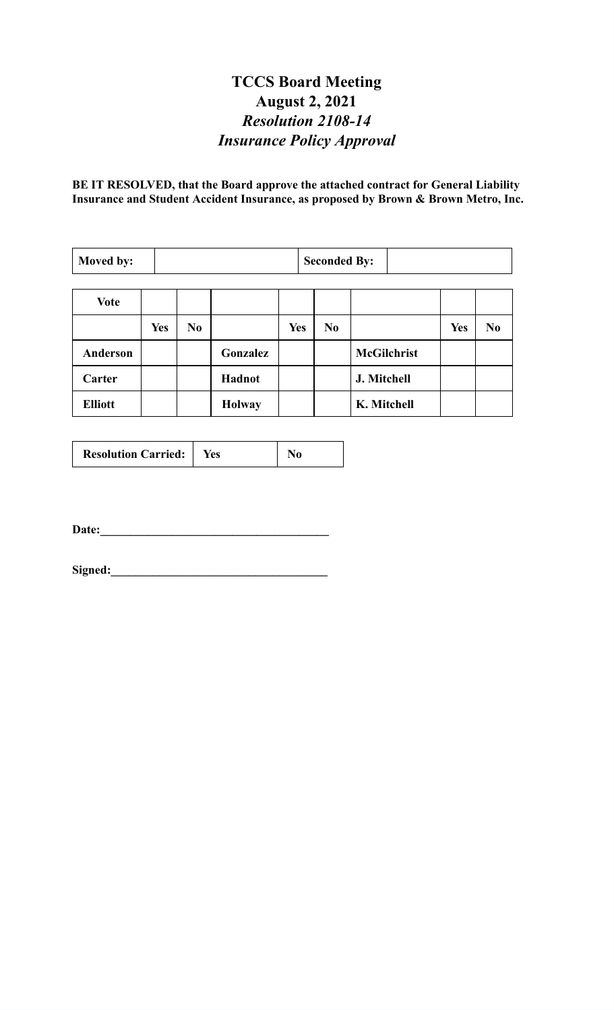# **TCCS Board Meeting August 2, 2021** *Resolution 2108-14 Insurance Policy Approval*

**BE IT RESOLVED, that the Board approve the attached contract for General Liability Insurance and Student Accident Insurance, as proposed by Brown & Brown Metro, Inc.**

| Moved by:      |            | <b>Seconded By:</b> |               |            |                |                    |            |                |
|----------------|------------|---------------------|---------------|------------|----------------|--------------------|------------|----------------|
| <b>Vote</b>    |            |                     |               |            |                |                    |            |                |
|                |            |                     |               |            |                |                    |            |                |
|                | <b>Yes</b> | N <sub>0</sub>      |               | <b>Yes</b> | N <sub>0</sub> |                    | <b>Yes</b> | N <sub>0</sub> |
| Anderson       |            |                     | Gonzalez      |            |                | <b>McGilchrist</b> |            |                |
| Carter         |            |                     | Hadnot        |            |                | J. Mitchell        |            |                |
| <b>Elliott</b> |            |                     | <b>Holway</b> |            |                | K. Mitchell        |            |                |

| <b>Resolution Carried:</b> | Yes |  |
|----------------------------|-----|--|
|----------------------------|-----|--|

**Date:\_\_\_\_\_\_\_\_\_\_\_\_\_\_\_\_\_\_\_\_\_\_\_\_\_\_\_\_\_\_\_\_\_\_\_\_\_\_**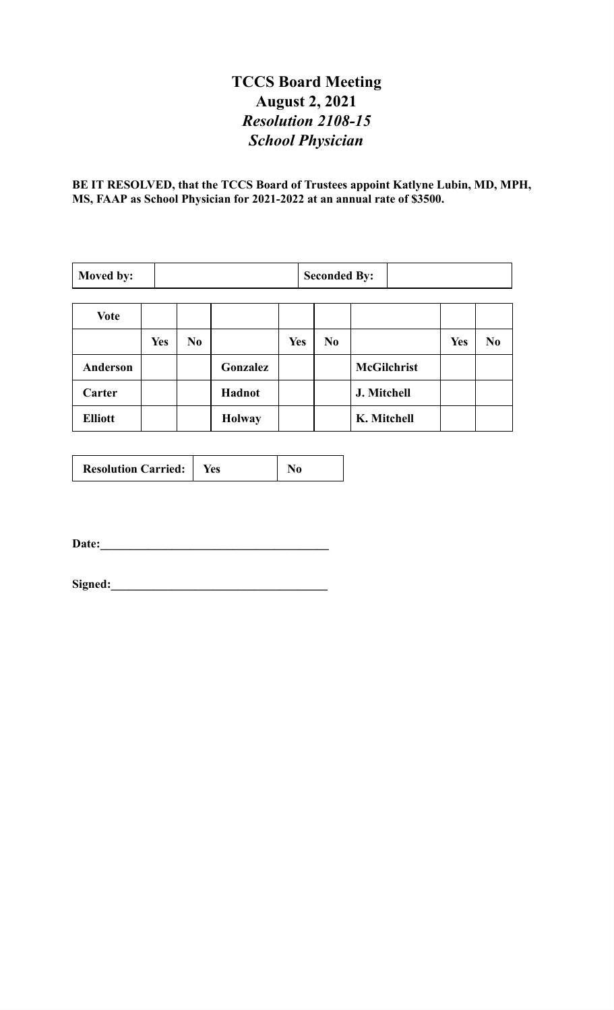# **TCCS Board Meeting August 2, 2021** *Resolution 2108-15 School Physician*

**BE IT RESOLVED, that the TCCS Board of Trustees appoint Katlyne Lubin, MD, MPH, MS, FAAP as School Physician for 2021-2022 at an annual rate of \$3500.**

| Moved by:      |            | <b>Seconded By:</b> |               |            |                |                    |            |                |
|----------------|------------|---------------------|---------------|------------|----------------|--------------------|------------|----------------|
| Vote           |            |                     |               |            |                |                    |            |                |
|                | <b>Yes</b> | N <sub>0</sub>      |               | <b>Yes</b> | N <sub>0</sub> |                    | <b>Yes</b> | N <sub>0</sub> |
| Anderson       |            |                     | Gonzalez      |            |                | <b>McGilchrist</b> |            |                |
| Carter         |            |                     | Hadnot        |            |                | J. Mitchell        |            |                |
| <b>Elliott</b> |            |                     | <b>Holway</b> |            |                | K. Mitchell        |            |                |

| <b>Resolution Carried:</b> | Yes |  |
|----------------------------|-----|--|
|----------------------------|-----|--|

**Date:\_\_\_\_\_\_\_\_\_\_\_\_\_\_\_\_\_\_\_\_\_\_\_\_\_\_\_\_\_\_\_\_\_\_\_\_\_\_**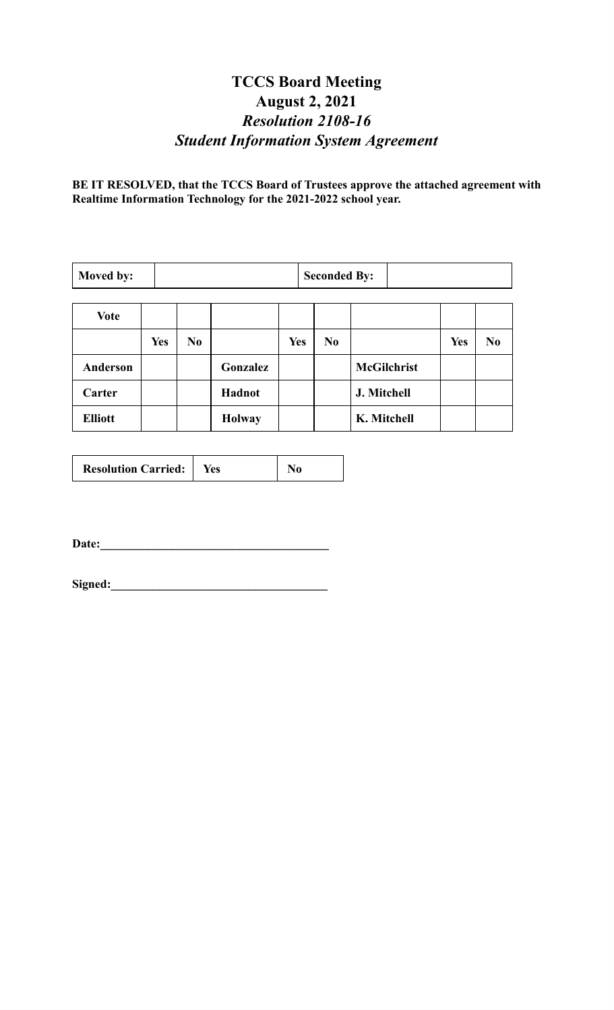# **TCCS Board Meeting August 2, 2021** *Resolution 2108-16 Student Information System Agreement*

**BE IT RESOLVED, that the TCCS Board of Trustees approve the attached agreement with Realtime Information Technology for the 2021-2022 school year.**

| Moved by:      |            | <b>Seconded By:</b> |               |            |                |                    |            |                |
|----------------|------------|---------------------|---------------|------------|----------------|--------------------|------------|----------------|
| <b>Vote</b>    |            |                     |               |            |                |                    |            |                |
|                | <b>Yes</b> | N <sub>0</sub>      |               | <b>Yes</b> | N <sub>0</sub> |                    | <b>Yes</b> | N <sub>0</sub> |
| Anderson       |            |                     | Gonzalez      |            |                | <b>McGilchrist</b> |            |                |
| Carter         |            |                     | Hadnot        |            |                | J. Mitchell        |            |                |
| <b>Elliott</b> |            |                     | <b>Holway</b> |            |                | K. Mitchell        |            |                |

| <b>Resolution Carried:</b> | Yes |  |
|----------------------------|-----|--|
|----------------------------|-----|--|

**Date:\_\_\_\_\_\_\_\_\_\_\_\_\_\_\_\_\_\_\_\_\_\_\_\_\_\_\_\_\_\_\_\_\_\_\_\_\_\_**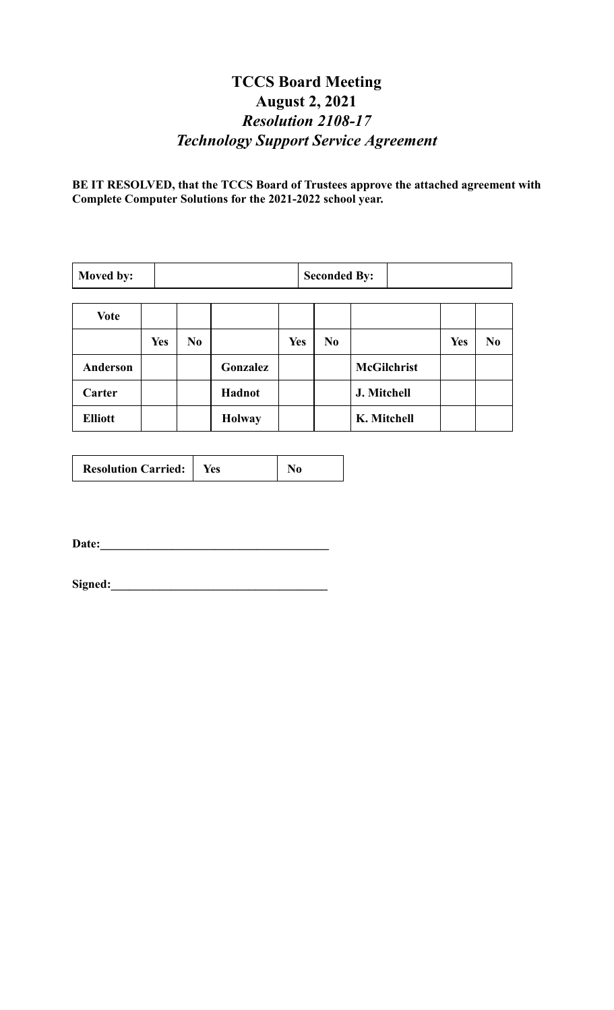# **TCCS Board Meeting August 2, 2021** *Resolution 2108-17 Technology Support Service Agreement*

**BE IT RESOLVED, that the TCCS Board of Trustees approve the attached agreement with Complete Computer Solutions for the 2021-2022 school year.**

| Moved by:       |            | <b>Seconded By:</b> |               |            |                |                    |            |                |
|-----------------|------------|---------------------|---------------|------------|----------------|--------------------|------------|----------------|
| Vote            |            |                     |               |            |                |                    |            |                |
|                 | <b>Yes</b> | N <sub>0</sub>      |               | <b>Yes</b> | N <sub>0</sub> |                    | <b>Yes</b> | N <sub>0</sub> |
| <b>Anderson</b> |            |                     | Gonzalez      |            |                | <b>McGilchrist</b> |            |                |
| Carter          |            |                     | Hadnot        |            |                | J. Mitchell        |            |                |
| <b>Elliott</b>  |            |                     | <b>Holway</b> |            |                | K. Mitchell        |            |                |

| <b>Resolution Carried:</b> | Yes |  |
|----------------------------|-----|--|
|----------------------------|-----|--|

**Date:\_\_\_\_\_\_\_\_\_\_\_\_\_\_\_\_\_\_\_\_\_\_\_\_\_\_\_\_\_\_\_\_\_\_\_\_\_\_**